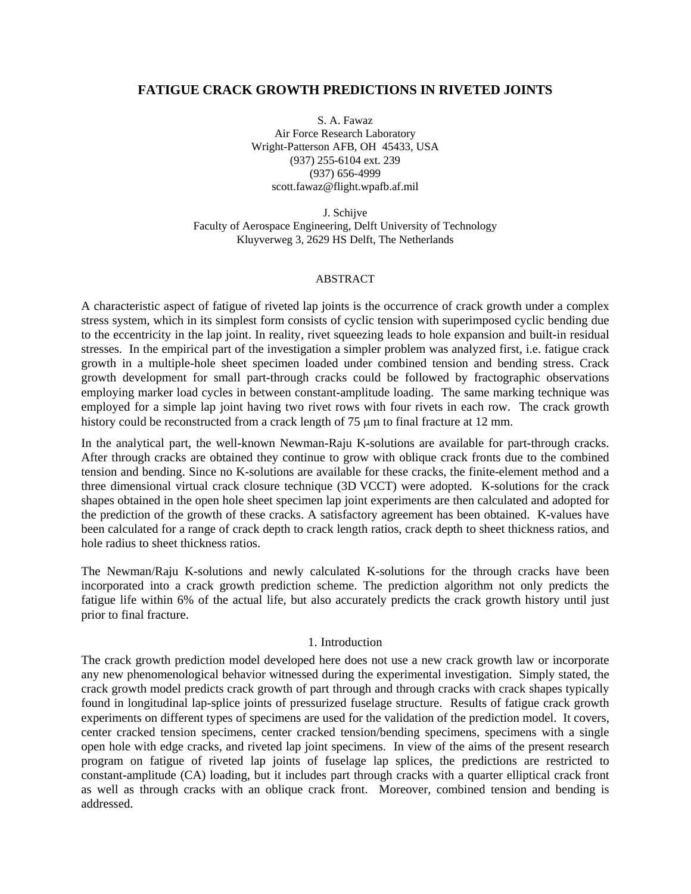## **FATIGUE CRACK GROWTH PREDICTIONS IN RIVETED JOINTS**

S. A. Fawaz Air Force Research Laboratory Wright-Patterson AFB, OH 45433, USA (937) 255-6104 ext. 239 (937) 656-4999 scott.fawaz@flight.wpafb.af.mil

J. Schijve Faculty of Aerospace Engineering, Delft University of Technology Kluyverweg 3, 2629 HS Delft, The Netherlands

#### ABSTRACT

A characteristic aspect of fatigue of riveted lap joints is the occurrence of crack growth under a complex stress system, which in its simplest form consists of cyclic tension with superimposed cyclic bending due to the eccentricity in the lap joint. In reality, rivet squeezing leads to hole expansion and built-in residual stresses. In the empirical part of the investigation a simpler problem was analyzed first, i.e. fatigue crack growth in a multiple-hole sheet specimen loaded under combined tension and bending stress. Crack growth development for small part-through cracks could be followed by fractographic observations employing marker load cycles in between constant-amplitude loading. The same marking technique was employed for a simple lap joint having two rivet rows with four rivets in each row. The crack growth history could be reconstructed from a crack length of 75 μm to final fracture at 12 mm.

In the analytical part, the well-known Newman-Raju K-solutions are available for part-through cracks. After through cracks are obtained they continue to grow with oblique crack fronts due to the combined tension and bending. Since no K-solutions are available for these cracks, the finite-element method and a three dimensional virtual crack closure technique (3D VCCT) were adopted. K-solutions for the crack shapes obtained in the open hole sheet specimen lap joint experiments are then calculated and adopted for the prediction of the growth of these cracks. A satisfactory agreement has been obtained. K-values have been calculated for a range of crack depth to crack length ratios, crack depth to sheet thickness ratios, and hole radius to sheet thickness ratios.

The Newman/Raju K-solutions and newly calculated K-solutions for the through cracks have been incorporated into a crack growth prediction scheme. The prediction algorithm not only predicts the fatigue life within 6% of the actual life, but also accurately predicts the crack growth history until just prior to final fracture.

#### 1. Introduction

The crack growth prediction model developed here does not use a new crack growth law or incorporate any new phenomenological behavior witnessed during the experimental investigation. Simply stated, the crack growth model predicts crack growth of part through and through cracks with crack shapes typically found in longitudinal lap-splice joints of pressurized fuselage structure. Results of fatigue crack growth experiments on different types of specimens are used for the validation of the prediction model. It covers, center cracked tension specimens, center cracked tension/bending specimens, specimens with a single open hole with edge cracks, and riveted lap joint specimens. In view of the aims of the present research program on fatigue of riveted lap joints of fuselage lap splices, the predictions are restricted to constant-amplitude (CA) loading, but it includes part through cracks with a quarter elliptical crack front as well as through cracks with an oblique crack front. Moreover, combined tension and bending is addressed.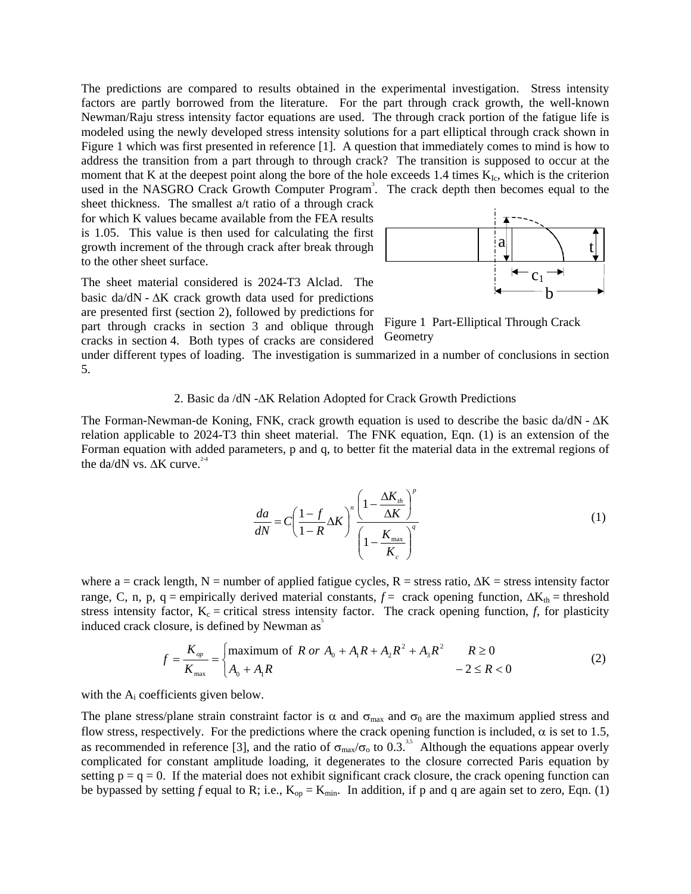The predictions are compared to results obtained in the experimental investigation. Stress intensity factors are partly borrowed from the literature. For the part through crack growth, the well-known Newman/Raju stress intensity factor equations are used. The through crack portion of the fatigue life is modeled using the newly developed stress intensity solutions for a part elliptical through crack shown in Figure 1 which was first presented in reference [1]. A question that immediately comes to mind is how to address the transition from a part through to through crack? The transition is supposed to occur at the moment that K at the deepest point along the bore of the hole exceeds 1.4 times  $K_{Ic}$ , which is the criterion used in the NASGRO Crack Growth Computer Program<sup>3</sup>. The crack depth then becomes equal to the

sheet thickness. The smallest a/t ratio of a through crack for which K values became available from the FEA results is 1.05. This value is then used for calculating the first growth increment of the through crack after break through to the other sheet surface.

The sheet material considered is 2024-T3 Alclad. The basic da/dN -  $\Delta K$  crack growth data used for predictions are presented first (section 2), followed by predictions for part through cracks in section 3 and oblique through cracks in section 4. Both types of cracks are considered



Figure 1 Part-Elliptical Through Crack Geometry

under different types of loading. The investigation is summarized in a number of conclusions in section 5.

#### 2. Basic da /dN -ΔK Relation Adopted for Crack Growth Predictions

The Forman-Newman-de Koning, FNK, crack growth equation is used to describe the basic da/dN - ΔK relation applicable to 2024-T3 thin sheet material. The FNK equation, Eqn. (1) is an extension of the Forman equation with added parameters, p and q, to better fit the material data in the extremal regions of the da/dN vs.  $\Delta K$  curve.<sup>2-4</sup>

$$
\frac{da}{dN} = C \left( \frac{1 - f}{1 - R} \Delta K \right)^n \left( \frac{1 - \frac{\Delta K_n}{\Delta K}}{1 - \frac{K_{\text{max}}}{K_c}} \right)^q \tag{1}
$$

where a = crack length, N = number of applied fatigue cycles, R = stress ratio,  $\Delta K$  = stress intensity factor range, C, n, p, q = empirically derived material constants,  $f =$  crack opening function,  $\Delta K_{th}$  = threshold stress intensity factor,  $K_c$  = critical stress intensity factor. The crack opening function, *f*, for plasticity induced crack closure, is defined by Newman  $as<sup>5</sup>$ 

$$
f = \frac{K_{op}}{K_{max}} = \begin{cases} \text{maximum of } R \text{ or } A_0 + A_1 R + A_2 R^2 + A_3 R^2 & R \ge 0\\ A_0 + A_1 R & -2 \le R < 0 \end{cases} \tag{2}
$$

with the  $A_i$  coefficients given below.

The plane stress/plane strain constraint factor is  $\alpha$  and  $\sigma_{\text{max}}$  and  $\sigma_0$  are the maximum applied stress and flow stress, respectively. For the predictions where the crack opening function is included,  $\alpha$  is set to 1.5, as recommended in reference [3], and the ratio of  $\sigma_{\text{max}}/\sigma_0$  to 0.3.<sup>35</sup> Although the equations appear overly complicated for constant amplitude loading, it degenerates to the closure corrected Paris equation by setting  $p = q = 0$ . If the material does not exhibit significant crack closure, the crack opening function can be bypassed by setting *f* equal to R; i.e.,  $K_{op} = K_{min}$ . In addition, if p and q are again set to zero, Eqn. (1)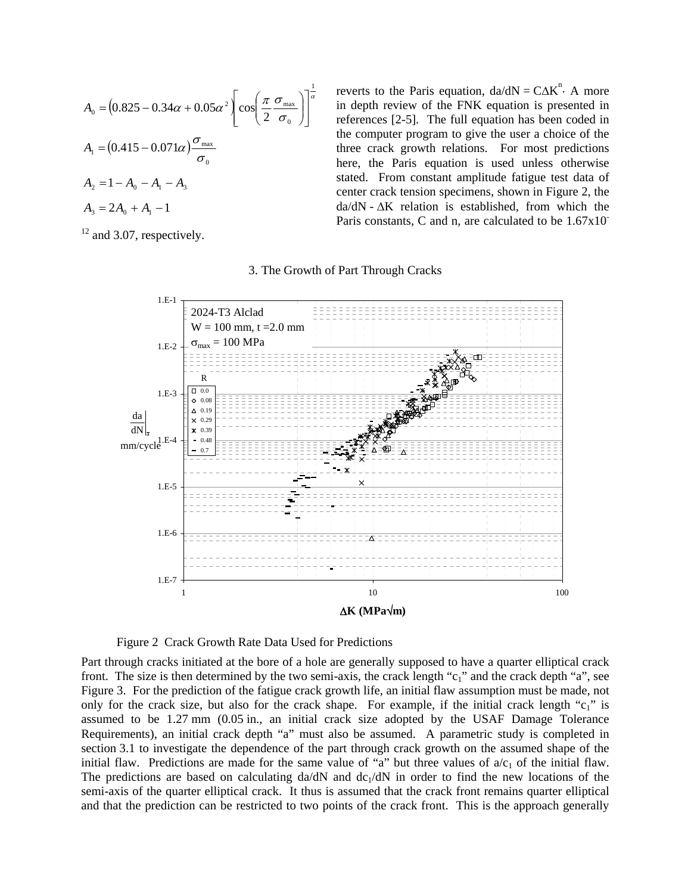$$
A_0 = (0.825 - 0.34\alpha + 0.05\alpha^2) \left[\cos\left(\frac{\pi}{2} \frac{\sigma_{\text{max}}}{\sigma_0}\right)\right]^{\frac{1}{\alpha}}
$$
  
\n
$$
A_1 = (0.415 - 0.071\alpha) \frac{\sigma_{\text{max}}}{\sigma_0}
$$
  
\n
$$
A_2 = 1 - A_0 - A_1 - A_3
$$
  
\n
$$
A_3 = 2A_0 + A_1 - 1
$$

 $12$  and 3.07, respectively.

reverts to the Paris equation,  $da/dN = C\Delta K^{n}$ . A more in depth review of the FNK equation is presented in references [2-5]. The full equation has been coded in the computer program to give the user a choice of the three crack growth relations. For most predictions here, the Paris equation is used unless otherwise stated. From constant amplitude fatigue test data of center crack tension specimens, shown in Figure 2, the da/dN - ΔK relation is established, from which the Paris constants, C and n, are calculated to be  $1.67x10$ <sup>-</sup>

#### 3. The Growth of Part Through Cracks



Figure 2 Crack Growth Rate Data Used for Predictions

Part through cracks initiated at the bore of a hole are generally supposed to have a quarter elliptical crack front. The size is then determined by the two semi-axis, the crack length "c<sub>1</sub>" and the crack depth "a", see Figure 3. For the prediction of the fatigue crack growth life, an initial flaw assumption must be made, not only for the crack size, but also for the crack shape. For example, if the initial crack length "c<sub>1</sub>" is assumed to be 1.27 mm (0.05 in., an initial crack size adopted by the USAF Damage Tolerance Requirements), an initial crack depth "a" must also be assumed. A parametric study is completed in section 3.1 to investigate the dependence of the part through crack growth on the assumed shape of the initial flaw. Predictions are made for the same value of "a" but three values of  $a/c<sub>1</sub>$  of the initial flaw. The predictions are based on calculating  $da/dN$  and  $dc<sub>1</sub>/dN$  in order to find the new locations of the semi-axis of the quarter elliptical crack. It thus is assumed that the crack front remains quarter elliptical and that the prediction can be restricted to two points of the crack front. This is the approach generally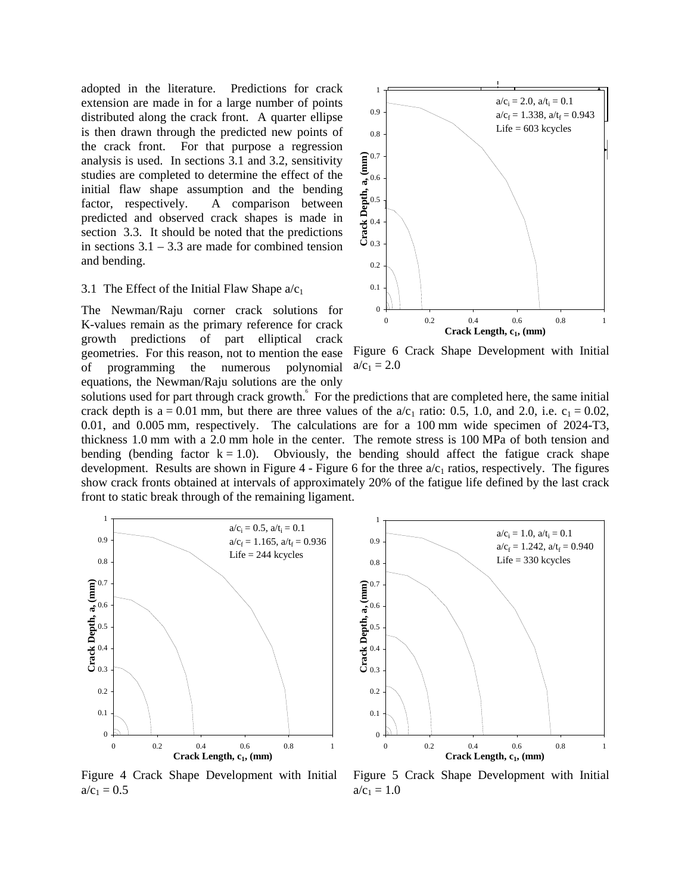adopted in the literature. Predictions for crack extension are made in for a large number of points distributed along the crack front. A quarter ellipse is then drawn through the predicted new points of the crack front. For that purpose a regression analysis is used. In sections 3.1 and 3.2, sensitivity studies are completed to determine the effect of the initial flaw shape assumption and the bending factor, respectively. A comparison between predicted and observed crack shapes is made in section 3.3. It should be noted that the predictions in sections  $3.1 - 3.3$  are made for combined tension and bending.

### 3.1 The Effect of the Initial Flaw Shape  $a/c_1$

The Newman/Raju corner crack solutions for K-values remain as the primary reference for crack growth predictions of part elliptical crack geometries. For this reason, not to mention the ease of programming the numerous polynomial equations, the Newman/Raju solutions are the only



Figure 6 Crack Shape Development with Initial  $a/c_1 = 2.0$ 

solutions used for part through crack growth.<sup>6</sup> For the predictions that are completed here, the same initial crack depth is a = 0.01 mm, but there are three values of the  $a/c<sub>1</sub>$  ratio: 0.5, 1.0, and 2.0, i.e.  $c<sub>1</sub> = 0.02$ , 0.01, and 0.005 mm, respectively. The calculations are for a 100 mm wide specimen of 2024-T3, thickness 1.0 mm with a 2.0 mm hole in the center. The remote stress is 100 MPa of both tension and bending (bending factor  $k = 1.0$ ). Obviously, the bending should affect the fatigue crack shape development. Results are shown in Figure 4 - Figure 6 for the three  $a/c<sub>1</sub>$  ratios, respectively. The figures show crack fronts obtained at intervals of approximately 20% of the fatigue life defined by the last crack front to static break through of the remaining ligament.





Figure 4 Crack Shape Development with Initial  $a/c_1 = 0.5$ 

Figure 5 Crack Shape Development with Initial  $a/c_1 = 1.0$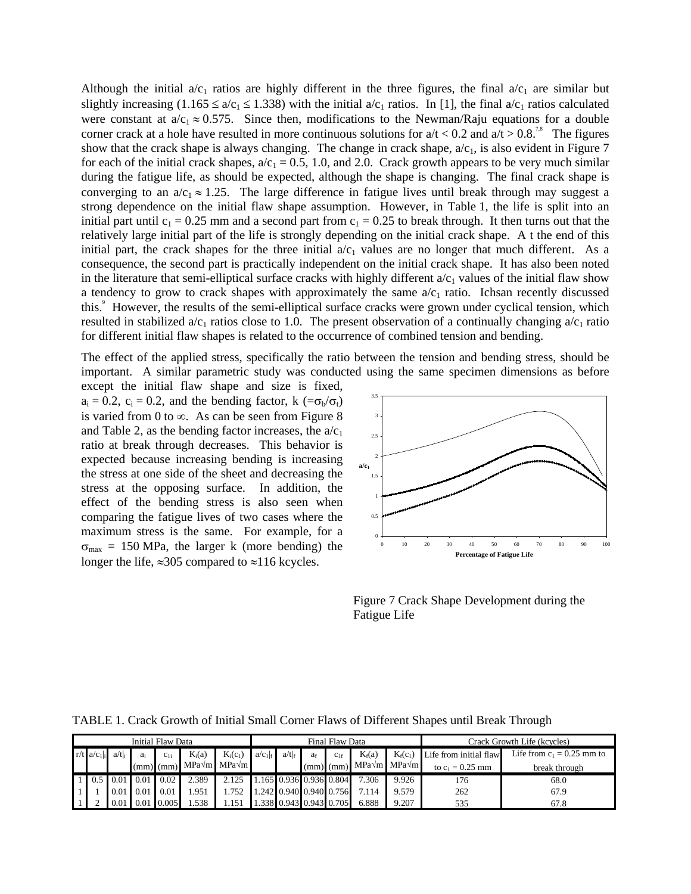Although the initial  $a/c_1$  ratios are highly different in the three figures, the final  $a/c_1$  are similar but slightly increasing (1.165  $\le a/c_1 \le 1.338$ ) with the initial  $a/c_1$  ratios. In [1], the final  $a/c_1$  ratios calculated were constant at  $a/c_1 \approx 0.575$ . Since then, modifications to the Newman/Raju equations for a double corner crack at a hole have resulted in more continuous solutions for  $a/t < 0.2$  and  $a/t > 0.8$ .<sup>7,8</sup> The figures show that the crack shape is always changing. The change in crack shape,  $a/c<sub>1</sub>$ , is also evident in Figure 7 for each of the initial crack shapes,  $a/c_1 = 0.5$ , 1.0, and 2.0. Crack growth appears to be very much similar during the fatigue life, as should be expected, although the shape is changing. The final crack shape is converging to an  $a/c_1 \approx 1.25$ . The large difference in fatigue lives until break through may suggest a strong dependence on the initial flaw shape assumption. However, in Table 1, the life is split into an initial part until  $c_1 = 0.25$  mm and a second part from  $c_1 = 0.25$  to break through. It then turns out that the relatively large initial part of the life is strongly depending on the initial crack shape. A t the end of this initial part, the crack shapes for the three initial  $a/c_1$  values are no longer that much different. As a consequence, the second part is practically independent on the initial crack shape. It has also been noted in the literature that semi-elliptical surface cracks with highly different  $a/c<sub>1</sub>$  values of the initial flaw show a tendency to grow to crack shapes with approximately the same  $a/c<sub>1</sub>$  ratio. Ichsan recently discussed this.<sup>9</sup> However, the results of the semi-elliptical surface cracks were grown under cyclical tension, which resulted in stabilized  $a/c_1$  ratios close to 1.0. The present observation of a continually changing  $a/c_1$  ratio for different initial flaw shapes is related to the occurrence of combined tension and bending.

The effect of the applied stress, specifically the ratio between the tension and bending stress, should be important. A similar parametric study was conducted using the same specimen dimensions as before

except the initial flaw shape and size is fixed,  $a_i = 0.2$ ,  $c_i = 0.2$ , and the bending factor, k  $(=\sigma_b/\sigma_t)$ is varied from 0 to  $\infty$ . As can be seen from Figure 8 and Table 2, as the bending factor increases, the  $a/c_1$ ratio at break through decreases. This behavior is expected because increasing bending is increasing the stress at one side of the sheet and decreasing the stress at the opposing surface. In addition, the effect of the bending stress is also seen when comparing the fatigue lives of two cases where the maximum stress is the same. For example, for a  $\sigma_{\text{max}} = 150 \text{ MPa}$ , the larger k (more bending) the longer the life,  $\approx 305$  compared to  $\approx 116$  kcycles.



Figure 7 Crack Shape Development during the Fatigue Life

| Initial Flaw Data |                          |       |      |               |          | Final Flaw Data                                         |                         |            |                |                         |                                                     | Crack Growth Life (kcycles) |                        |                              |
|-------------------|--------------------------|-------|------|---------------|----------|---------------------------------------------------------|-------------------------|------------|----------------|-------------------------|-----------------------------------------------------|-----------------------------|------------------------|------------------------------|
|                   | $r/t$ a/c <sub>1</sub> . | a/tl. | a.   | $C_{1}$       | $K_i(a)$ | $K_i(c_1)$                                              | $a/c_1$ <sub>f</sub>    | $a/t _{f}$ | a <sub>f</sub> | $C_{1f}$                | $K_f(a)$                                            | $K_f(c_1)$                  | Life from initial flaw | Life from $c_1 = 0.25$ mm to |
|                   |                          |       |      |               |          | $\lceil (mm) \rceil$ (mm) MPa $\sqrt{m}$ MPa $\sqrt{m}$ |                         |            |                |                         | $\lceil (mm) \rceil$ (mm) MPa $\vee$ m MPa $\vee$ m |                             | to $c_1 = 0.25$ mm     | break through                |
|                   |                          | 0.01  | 0.01 | $\sqrt{0.02}$ | 2.389    | 2.125                                                   | 1.165 0.936 0.936 0.804 |            |                |                         | 7.306                                               | 9.926                       | 176                    | 68.0                         |
|                   |                          | 0.01  | 0.01 | 0.01          | .951     | .752                                                    |                         |            |                | 1.242 0.940 0.940 0.756 | 7.114                                               | 9.579                       | 262                    | 67.9                         |
|                   |                          | 0.01  | 0.01 | 0.005         | .538     | .151                                                    |                         |            |                | 1.338 0.943 0.943 0.705 | 6.888                                               | 9.207                       | 535                    | 67.8                         |

TABLE 1. Crack Growth of Initial Small Corner Flaws of Different Shapes until Break Through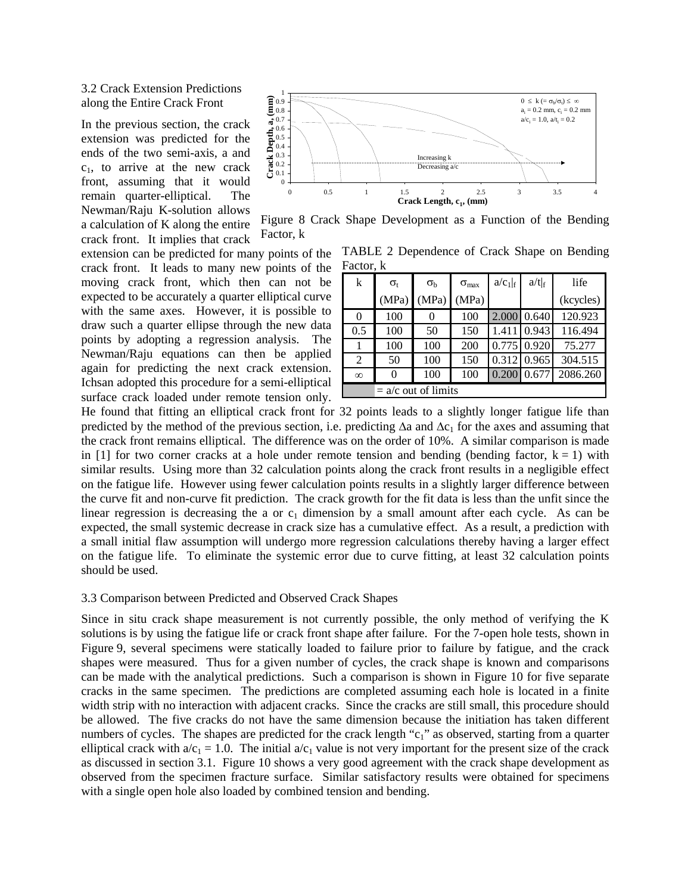### 3.2 Crack Extension Predictions along the Entire Crack Front

In the previous section, the crack extension was predicted for the ends of the two semi-axis, a and  $c_1$ , to arrive at the new crack front, assuming that it would remain quarter-elliptical. The Newman/Raju K-solution allows a calculation of K along the entire crack front. It implies that crack

extension can be predicted for many points of the crack front. It leads to many new points of the moving crack front, which then can not be expected to be accurately a quarter elliptical curve with the same axes. However, it is possible to draw such a quarter ellipse through the new data points by adopting a regression analysis. The Newman/Raju equations can then be applied again for predicting the next crack extension. Ichsan adopted this procedure for a semi-elliptical surface crack loaded under remote tension only.



Figure 8 Crack Shape Development as a Function of the Bending Factor, k

TABLE 2 Dependence of Crack Shape on Bending Factor, k

| k                     | $\sigma_{t}$ | $\sigma_{\rm b}$ | $\sigma_{\text{max}}$ | $a/c_1 _{f}$ | $a/t _{f}$ | life      |  |  |  |
|-----------------------|--------------|------------------|-----------------------|--------------|------------|-----------|--|--|--|
|                       | (MPa)        | (MPa)            | (MPa)                 |              |            | (kcycles) |  |  |  |
| $\Omega$              | 100          | 0                | 100                   | 2.000        | 0.640      | 120.923   |  |  |  |
| 0.5                   | 100          | 50               | 150                   | 1.411        | 0.943      | 116.494   |  |  |  |
|                       | 100          | 100              | 200                   | 0.775        | 0.920      | 75.277    |  |  |  |
| 2                     | 50           | 100              | 150                   | 0.312        | 0.965      | 304.515   |  |  |  |
| $\infty$              | 0            | 100              | 100                   | 0.200        | 0.677      | 2086.260  |  |  |  |
| $= a/c$ out of limits |              |                  |                       |              |            |           |  |  |  |

He found that fitting an elliptical crack front for 32 points leads to a slightly longer fatigue life than predicted by the method of the previous section, i.e. predicting  $\Delta a$  and  $\Delta c_1$  for the axes and assuming that the crack front remains elliptical. The difference was on the order of 10%. A similar comparison is made in [1] for two corner cracks at a hole under remote tension and bending (bending factor,  $k = 1$ ) with similar results. Using more than 32 calculation points along the crack front results in a negligible effect on the fatigue life. However using fewer calculation points results in a slightly larger difference between the curve fit and non-curve fit prediction. The crack growth for the fit data is less than the unfit since the linear regression is decreasing the a or  $c_1$  dimension by a small amount after each cycle. As can be expected, the small systemic decrease in crack size has a cumulative effect. As a result, a prediction with a small initial flaw assumption will undergo more regression calculations thereby having a larger effect on the fatigue life. To eliminate the systemic error due to curve fitting, at least 32 calculation points should be used.

#### 3.3 Comparison between Predicted and Observed Crack Shapes

Since in situ crack shape measurement is not currently possible, the only method of verifying the K solutions is by using the fatigue life or crack front shape after failure. For the 7-open hole tests, shown in Figure 9, several specimens were statically loaded to failure prior to failure by fatigue, and the crack shapes were measured. Thus for a given number of cycles, the crack shape is known and comparisons can be made with the analytical predictions. Such a comparison is shown in Figure 10 for five separate cracks in the same specimen. The predictions are completed assuming each hole is located in a finite width strip with no interaction with adjacent cracks. Since the cracks are still small, this procedure should be allowed. The five cracks do not have the same dimension because the initiation has taken different numbers of cycles. The shapes are predicted for the crack length " $c_1$ " as observed, starting from a quarter elliptical crack with  $a/c_1 = 1.0$ . The initial  $a/c_1$  value is not very important for the present size of the crack as discussed in section 3.1. Figure 10 shows a very good agreement with the crack shape development as observed from the specimen fracture surface. Similar satisfactory results were obtained for specimens with a single open hole also loaded by combined tension and bending.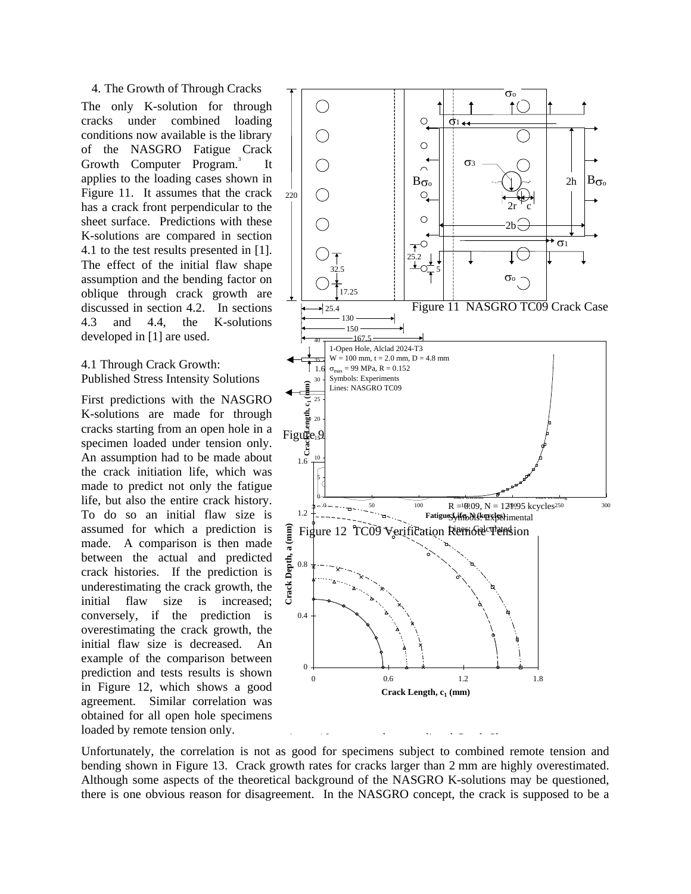4. The Growth of Through Cracks The only K-solution for through cracks under combined loading conditions now available is the library of the NASGRO Fatigue Crack Growth Computer Program.<sup>3</sup> It applies to the loading cases shown in Figure 11. It assumes that the crack has a crack front perpendicular to the sheet surface. Predictions with these K-solutions are compared in section 4.1 to the test results presented in [1]. The effect of the initial flaw shape assumption and the bending factor on oblique through crack growth are discussed in section 4.2. In sections 4.3 and 4.4, the K-solutions developed in [1] are used.

### 4.1 Through Crack Growth: Published Stress Intensity Solutions

First predictions with the NASGRO K-solutions are made for through cracks starting from an open hole in a specimen loaded under tension only. An assumption had to be made about the crack initiation life, which was made to predict not only the fatigue life, but also the entire crack history. To do so an initial flaw size is assumed for which a prediction is made. A comparison is then made between the actual and predicted crack histories. If the prediction is underestimating the crack growth, the initial flaw size is increased; conversely, if the prediction is overestimating the crack growth, the initial flaw size is decreased. An example of the comparison between prediction and tests results is shown in Figure 12, which shows a good agreement. Similar correlation was obtained for all open hole specimens loaded by remote tension only.



Unfortunately, the correlation is not as good for specimens subject to combined remote tension and bending shown in Figure 13. Crack growth rates for cracks larger than 2 mm are highly overestimated. Although some aspects of the theoretical background of the NASGRO K-solutions may be questioned, there is one obvious reason for disagreement. In the NASGRO concept, the crack is supposed to be a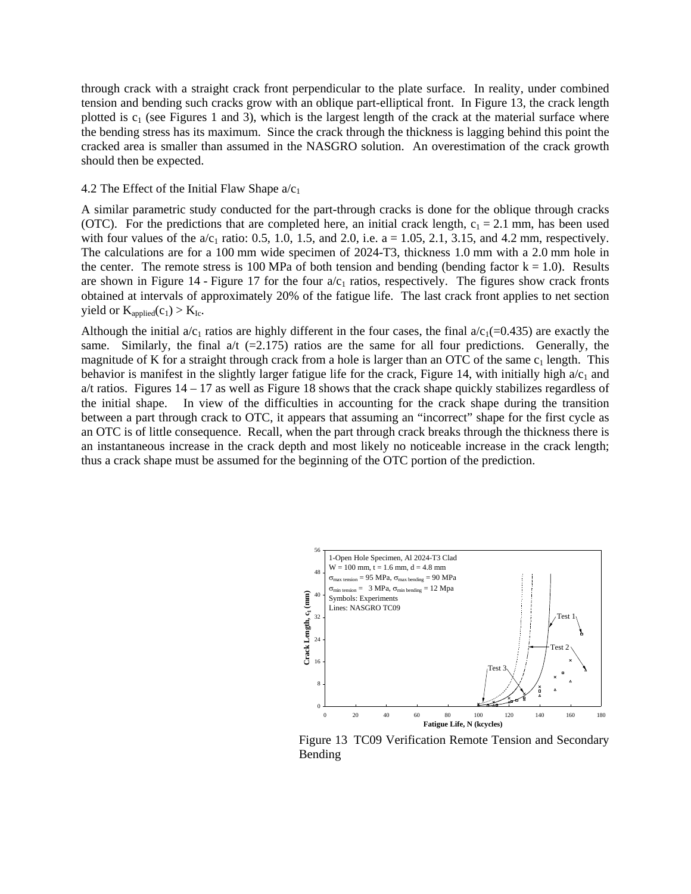through crack with a straight crack front perpendicular to the plate surface. In reality, under combined tension and bending such cracks grow with an oblique part-elliptical front. In Figure 13, the crack length plotted is  $c_1$  (see Figures 1 and 3), which is the largest length of the crack at the material surface where the bending stress has its maximum. Since the crack through the thickness is lagging behind this point the cracked area is smaller than assumed in the NASGRO solution. An overestimation of the crack growth should then be expected.

#### 4.2 The Effect of the Initial Flaw Shape  $a/c_1$

A similar parametric study conducted for the part-through cracks is done for the oblique through cracks (OTC). For the predictions that are completed here, an initial crack length,  $c_1 = 2.1$  mm, has been used with four values of the  $a/c_1$  ratio: 0.5, 1.0, 1.5, and 2.0, i.e. a = 1.05, 2.1, 3.15, and 4.2 mm, respectively. The calculations are for a 100 mm wide specimen of 2024-T3, thickness 1.0 mm with a 2.0 mm hole in the center. The remote stress is 100 MPa of both tension and bending (bending factor  $k = 1.0$ ). Results are shown in Figure 14 - Figure 17 for the four  $a/c<sub>1</sub>$  ratios, respectively. The figures show crack fronts obtained at intervals of approximately 20% of the fatigue life. The last crack front applies to net section yield or  $K_{\text{applied}}(c_1) > K_{\text{Ic}}$ .

Although the initial  $a/c_1$  ratios are highly different in the four cases, the final  $a/c_1$ (=0.435) are exactly the same. Similarly, the final  $\alpha$ /t (=2.175) ratios are the same for all four predictions. Generally, the magnitude of K for a straight through crack from a hole is larger than an OTC of the same  $c_1$  length. This behavior is manifest in the slightly larger fatigue life for the crack, Figure 14, with initially high  $a/c<sub>1</sub>$  and a/t ratios. Figures  $14 - 17$  as well as Figure 18 shows that the crack shape quickly stabilizes regardless of the initial shape. In view of the difficulties in accounting for the crack shape during the transition between a part through crack to OTC, it appears that assuming an "incorrect" shape for the first cycle as an OTC is of little consequence. Recall, when the part through crack breaks through the thickness there is an instantaneous increase in the crack depth and most likely no noticeable increase in the crack length; thus a crack shape must be assumed for the beginning of the OTC portion of the prediction.



Figure 13 TC09 Verification Remote Tension and Secondary Bending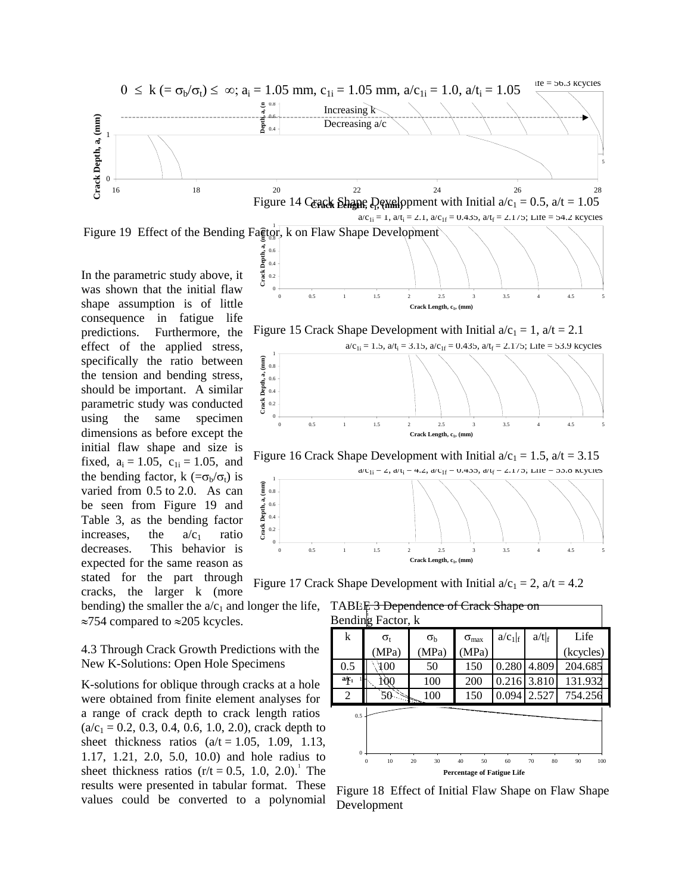

In the parametric study above, it was shown that the initial flaw shape assumption is of little consequence in fatigue life predictions. Furthermore, the effect of the applied stress, specifically the ratio between the tension and bending stress, should be important. A similar parametric study was conducted using the same specimen dimensions as before except the initial flaw shape and size is fixed,  $a_i = 1.05$ ,  $c_{1i} = 1.05$ , and the bending factor, k ( $=\sigma_b/\sigma_t$ ) is varied from 0.5 to 2.0. As can be seen from Figure 19 and Table 3, as the bending factor increases, the  $a/c_1$  ratio decreases. This behavior is expected for the same reason as stated for the part through cracks, the larger k (more

bending) the smaller the  $a/c_1$  and longer the life, ≈754 compared to ≈205 kcycles.

4.3 Through Crack Growth Predictions with the New K-Solutions: Open Hole Specimens

K-solutions for oblique through cracks at a hole were obtained from finite element analyses for a range of crack depth to crack length ratios  $(a/c_1 = 0.2, 0.3, 0.4, 0.6, 1.0, 2.0)$ , crack depth to sheet thickness ratios  $(a/t = 1.05, 1.09, 1.13,$ 1.17, 1.21, 2.0, 5.0, 10.0) and hole radius to sheet thickness ratios  $(r/t = 0.5, 1.0, 2.0)^T$ . The results were presented in tabular format. These values could be converted to a polynomial



Figure 15 Crack Shape Development with Initial  $a/c_1 = 1$ ,  $a/t = 2.1$ 



Figure 16 Crack Shape Development with Initial  $a/c_1 = 1.5$ ,  $a/t = 3.15$ 



Figure 17 Crack Shape Development with Initial  $a/c_1 = 2$ ,  $a/t = 4.2$ 



Figure 18 Effect of Initial Flaw Shape on Flaw Shape Development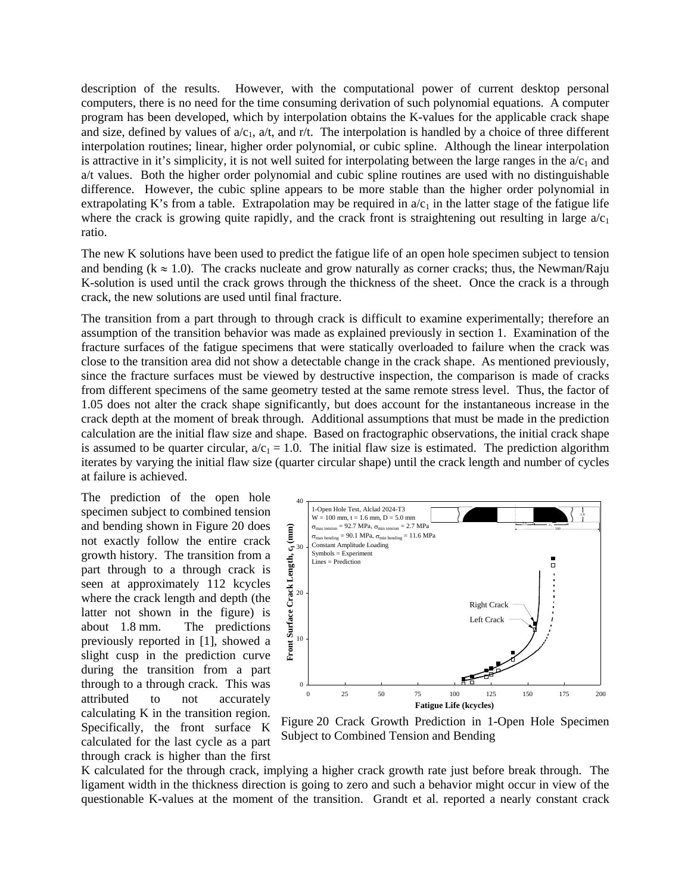description of the results. However, with the computational power of current desktop personal computers, there is no need for the time consuming derivation of such polynomial equations. A computer program has been developed, which by interpolation obtains the K-values for the applicable crack shape and size, defined by values of  $a/c_1$ ,  $a/t$ , and r/t. The interpolation is handled by a choice of three different interpolation routines; linear, higher order polynomial, or cubic spline. Although the linear interpolation is attractive in it's simplicity, it is not well suited for interpolating between the large ranges in the  $a/c<sub>1</sub>$  and a/t values. Both the higher order polynomial and cubic spline routines are used with no distinguishable difference. However, the cubic spline appears to be more stable than the higher order polynomial in extrapolating K's from a table. Extrapolation may be required in  $a/c<sub>1</sub>$  in the latter stage of the fatigue life where the crack is growing quite rapidly, and the crack front is straightening out resulting in large  $a/c<sub>1</sub>$ ratio.

The new K solutions have been used to predict the fatigue life of an open hole specimen subject to tension and bending ( $k \approx 1.0$ ). The cracks nucleate and grow naturally as corner cracks; thus, the Newman/Raju K-solution is used until the crack grows through the thickness of the sheet. Once the crack is a through crack, the new solutions are used until final fracture.

The transition from a part through to through crack is difficult to examine experimentally; therefore an assumption of the transition behavior was made as explained previously in section 1. Examination of the fracture surfaces of the fatigue specimens that were statically overloaded to failure when the crack was close to the transition area did not show a detectable change in the crack shape. As mentioned previously, since the fracture surfaces must be viewed by destructive inspection, the comparison is made of cracks from different specimens of the same geometry tested at the same remote stress level. Thus, the factor of 1.05 does not alter the crack shape significantly, but does account for the instantaneous increase in the crack depth at the moment of break through. Additional assumptions that must be made in the prediction calculation are the initial flaw size and shape. Based on fractographic observations, the initial crack shape is assumed to be quarter circular,  $a/c_1 = 1.0$ . The initial flaw size is estimated. The prediction algorithm iterates by varying the initial flaw size (quarter circular shape) until the crack length and number of cycles at failure is achieved.

The prediction of the open hole specimen subject to combined tension and bending shown in Figure 20 does not exactly follow the entire crack growth history. The transition from a part through to a through crack is seen at approximately 112 kcycles where the crack length and depth (the latter not shown in the figure) is about 1.8 mm. The predictions previously reported in [1], showed a slight cusp in the prediction curve during the transition from a part through to a through crack. This was attributed to not accurately calculating K in the transition region. Specifically, the front surface K calculated for the last cycle as a part through crack is higher than the first



Figure 20 Crack Growth Prediction in 1-Open Hole Specimen Subject to Combined Tension and Bending

K calculated for the through crack, implying a higher crack growth rate just before break through. The ligament width in the thickness direction is going to zero and such a behavior might occur in view of the questionable K-values at the moment of the transition. Grandt et al. reported a nearly constant crack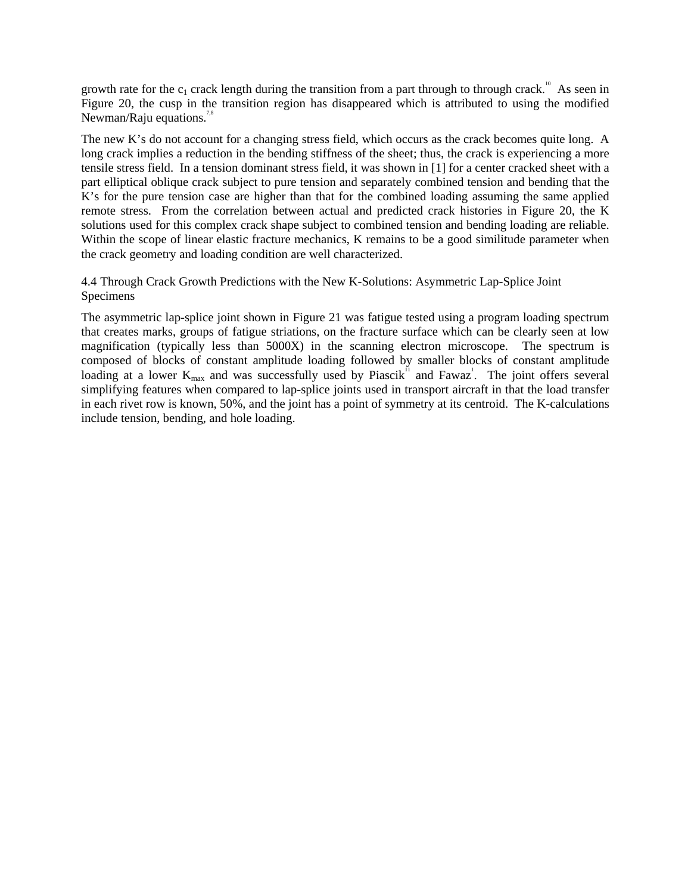growth rate for the  $c_1$  crack length during the transition from a part through to through crack.<sup>10</sup> As seen in Figure 20, the cusp in the transition region has disappeared which is attributed to using the modified Newman/Raju equations.<sup>7,8</sup>

The new K's do not account for a changing stress field, which occurs as the crack becomes quite long. A long crack implies a reduction in the bending stiffness of the sheet; thus, the crack is experiencing a more tensile stress field. In a tension dominant stress field, it was shown in [1] for a center cracked sheet with a part elliptical oblique crack subject to pure tension and separately combined tension and bending that the K's for the pure tension case are higher than that for the combined loading assuming the same applied remote stress. From the correlation between actual and predicted crack histories in Figure 20, the K solutions used for this complex crack shape subject to combined tension and bending loading are reliable. Within the scope of linear elastic fracture mechanics, K remains to be a good similitude parameter when the crack geometry and loading condition are well characterized.

# 4.4 Through Crack Growth Predictions with the New K-Solutions: Asymmetric Lap-Splice Joint Specimens

The asymmetric lap-splice joint shown in Figure 21 was fatigue tested using a program loading spectrum that creates marks, groups of fatigue striations, on the fracture surface which can be clearly seen at low magnification (typically less than 5000X) in the scanning electron microscope. The spectrum is composed of blocks of constant amplitude loading followed by smaller blocks of constant amplitude loading at a lower  $K_{\text{max}}$  and was successfully used by Piascik<sup>11</sup> and Fawaz<sup>1</sup>. The joint offers several simplifying features when compared to lap-splice joints used in transport aircraft in that the load transfer in each rivet row is known, 50%, and the joint has a point of symmetry at its centroid. The K-calculations include tension, bending, and hole loading.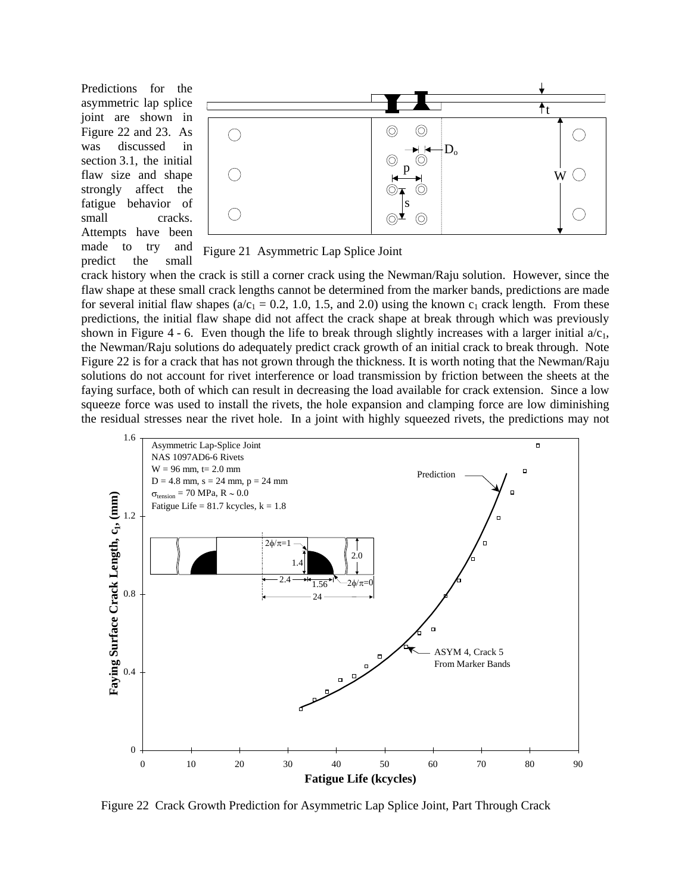Predictions for the asymmetric lap splice joint are shown in Figure 22 and 23. As was discussed in section 3.1, the initial flaw size and shape strongly affect the fatigue behavior of small cracks. Attempts have been made to try and predict the small





crack history when the crack is still a corner crack using the Newman/Raju solution. However, since the flaw shape at these small crack lengths cannot be determined from the marker bands, predictions are made for several initial flaw shapes ( $a/c_1 = 0.2$ , 1.0, 1.5, and 2.0) using the known  $c_1$  crack length. From these predictions, the initial flaw shape did not affect the crack shape at break through which was previously shown in Figure 4 - 6. Even though the life to break through slightly increases with a larger initial  $a/c<sub>1</sub>$ , the Newman/Raju solutions do adequately predict crack growth of an initial crack to break through. Note Figure 22 is for a crack that has not grown through the thickness. It is worth noting that the Newman/Raju solutions do not account for rivet interference or load transmission by friction between the sheets at the faying surface, both of which can result in decreasing the load available for crack extension. Since a low squeeze force was used to install the rivets, the hole expansion and clamping force are low diminishing the residual stresses near the rivet hole. In a joint with highly squeezed rivets, the predictions may not



Figure 22 Crack Growth Prediction for Asymmetric Lap Splice Joint, Part Through Crack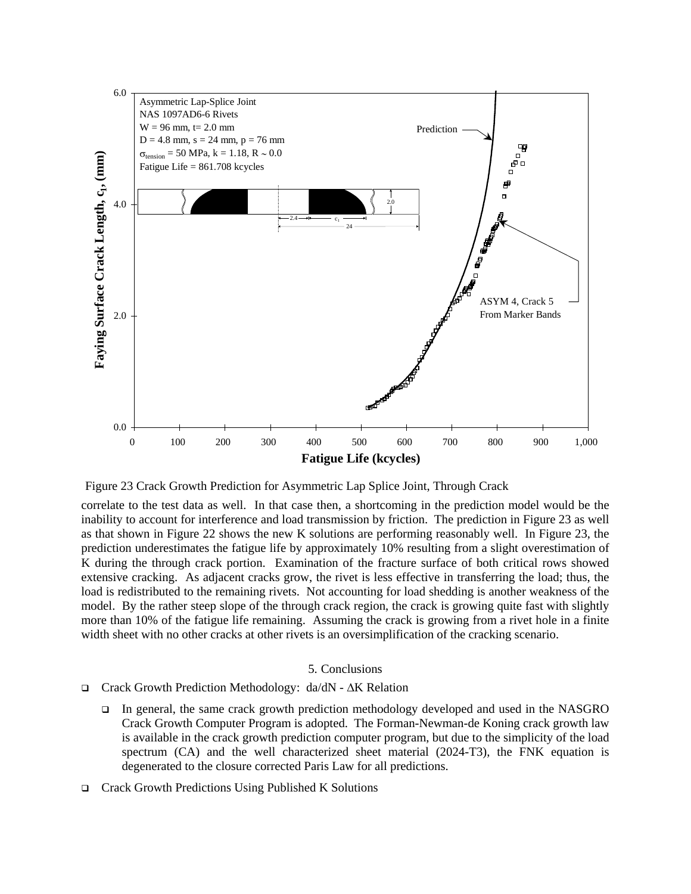

Figure 23 Crack Growth Prediction for Asymmetric Lap Splice Joint, Through Crack

correlate to the test data as well. In that case then, a shortcoming in the prediction model would be the inability to account for interference and load transmission by friction. The prediction in Figure 23 as well as that shown in Figure 22 shows the new K solutions are performing reasonably well. In Figure 23, the prediction underestimates the fatigue life by approximately 10% resulting from a slight overestimation of K during the through crack portion. Examination of the fracture surface of both critical rows showed extensive cracking. As adjacent cracks grow, the rivet is less effective in transferring the load; thus, the load is redistributed to the remaining rivets. Not accounting for load shedding is another weakness of the model. By the rather steep slope of the through crack region, the crack is growing quite fast with slightly more than 10% of the fatigue life remaining. Assuming the crack is growing from a rivet hole in a finite width sheet with no other cracks at other rivets is an oversimplification of the cracking scenario.

### 5. Conclusions

- Crack Growth Prediction Methodology: da/dN ΔK Relation
	- In general, the same crack growth prediction methodology developed and used in the NASGRO Crack Growth Computer Program is adopted. The Forman-Newman-de Koning crack growth law is available in the crack growth prediction computer program, but due to the simplicity of the load spectrum (CA) and the well characterized sheet material (2024-T3), the FNK equation is degenerated to the closure corrected Paris Law for all predictions.
- Crack Growth Predictions Using Published K Solutions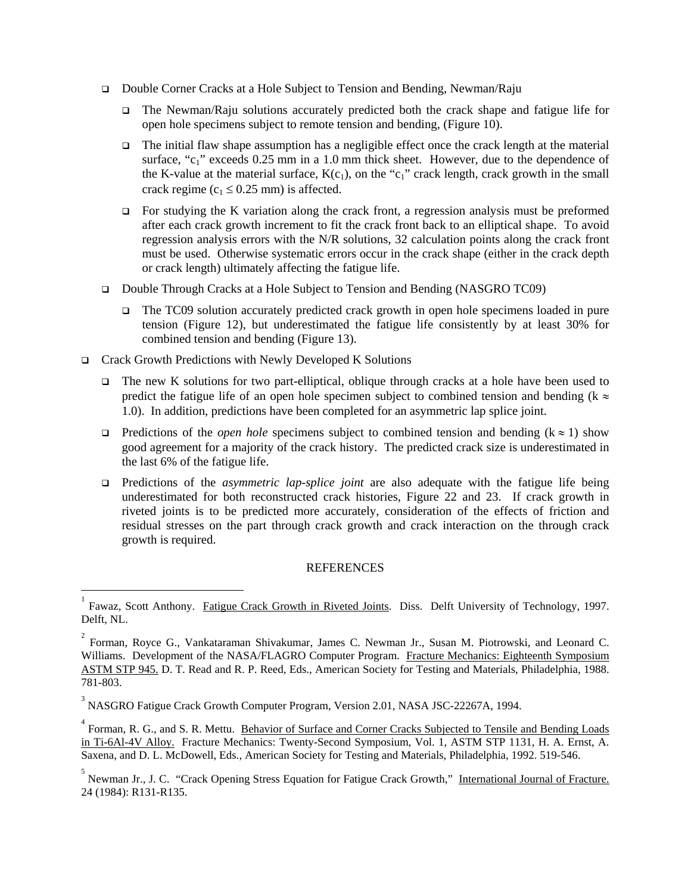- Double Corner Cracks at a Hole Subject to Tension and Bending, Newman/Raju
	- The Newman/Raju solutions accurately predicted both the crack shape and fatigue life for open hole specimens subject to remote tension and bending, (Figure 10).
	- $\Box$  The initial flaw shape assumption has a negligible effect once the crack length at the material surface, " $c_1$ " exceeds 0.25 mm in a 1.0 mm thick sheet. However, due to the dependence of the K-value at the material surface,  $K(c_1)$ , on the "c<sub>1</sub>" crack length, crack growth in the small crack regime ( $c_1 \le 0.25$  mm) is affected.
	- $\Box$  For studying the K variation along the crack front, a regression analysis must be preformed after each crack growth increment to fit the crack front back to an elliptical shape. To avoid regression analysis errors with the N/R solutions, 32 calculation points along the crack front must be used. Otherwise systematic errors occur in the crack shape (either in the crack depth or crack length) ultimately affecting the fatigue life.
- Double Through Cracks at a Hole Subject to Tension and Bending (NASGRO TC09)
	- □ The TC09 solution accurately predicted crack growth in open hole specimens loaded in pure tension (Figure 12), but underestimated the fatigue life consistently by at least 30% for combined tension and bending (Figure 13).
- Crack Growth Predictions with Newly Developed K Solutions

-

- $\Box$  The new K solutions for two part-elliptical, oblique through cracks at a hole have been used to predict the fatigue life of an open hole specimen subject to combined tension and bending ( $k \approx$ 1.0). In addition, predictions have been completed for an asymmetric lap splice joint.
- Predictions of the *open hole* specimens subject to combined tension and bending (k ≈ 1) show good agreement for a majority of the crack history. The predicted crack size is underestimated in the last 6% of the fatigue life.
- Predictions of the *asymmetric lap-splice joint* are also adequate with the fatigue life being underestimated for both reconstructed crack histories, Figure 22 and 23. If crack growth in riveted joints is to be predicted more accurately, consideration of the effects of friction and residual stresses on the part through crack growth and crack interaction on the through crack growth is required.

## REFERENCES

<sup>1</sup> Fawaz, Scott Anthony. Fatigue Crack Growth in Riveted Joints. Diss. Delft University of Technology, 1997. Delft, NL.

 $2^2$  Forman, Royce G., Vankataraman Shivakumar, James C. Newman Jr., Susan M. Piotrowski, and Leonard C. Williams. Development of the NASA/FLAGRO Computer Program. Fracture Mechanics: Eighteenth Symposium ASTM STP 945. D. T. Read and R. P. Reed, Eds., American Society for Testing and Materials, Philadelphia, 1988. 781-803.

<sup>&</sup>lt;sup>3</sup> NASGRO Fatigue Crack Growth Computer Program, Version 2.01, NASA JSC-22267A, 1994.

<sup>&</sup>lt;sup>4</sup> Forman, R. G., and S. R. Mettu. Behavior of Surface and Corner Cracks Subjected to Tensile and Bending Loads in Ti-6Al-4V Alloy. Fracture Mechanics: Twenty-Second Symposium, Vol. 1, ASTM STP 1131, H. A. Ernst, A. Saxena, and D. L. McDowell, Eds., American Society for Testing and Materials, Philadelphia, 1992. 519-546.

<sup>&</sup>lt;sup>5</sup> Newman Jr., J. C. "Crack Opening Stress Equation for Fatigue Crack Growth," International Journal of Fracture. 24 (1984): R131-R135.